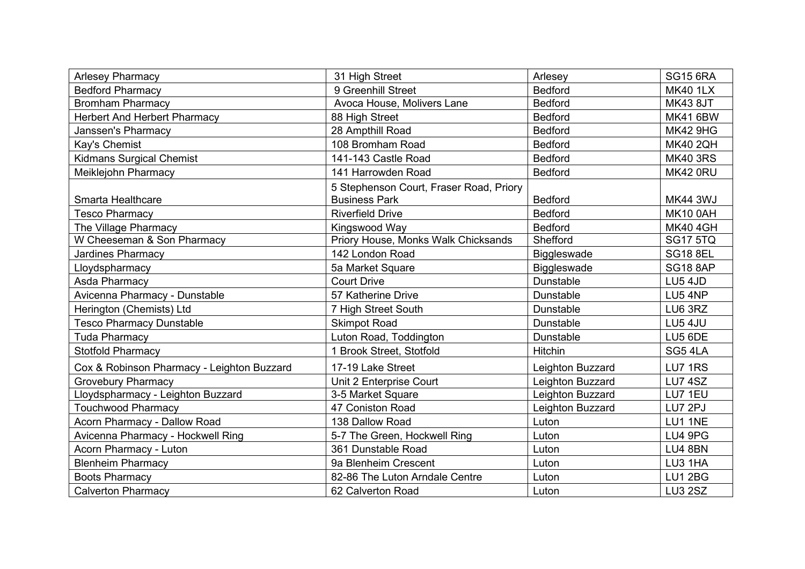| <b>Arlesey Pharmacy</b>                    | Arlesey<br>31 High Street                                                         |                      | <b>SG15 6RA</b> |
|--------------------------------------------|-----------------------------------------------------------------------------------|----------------------|-----------------|
| <b>Bedford Pharmacy</b>                    | 9 Greenhill Street                                                                | <b>Bedford</b>       | <b>MK40 1LX</b> |
| <b>Bromham Pharmacy</b>                    | Avoca House, Molivers Lane                                                        | <b>Bedford</b>       | <b>MK43 8JT</b> |
| <b>Herbert And Herbert Pharmacy</b>        | 88 High Street                                                                    | <b>Bedford</b>       | <b>MK41 6BW</b> |
| Janssen's Pharmacy                         | 28 Ampthill Road<br><b>Bedford</b>                                                |                      | <b>MK42 9HG</b> |
| Kay's Chemist                              | 108 Bromham Road<br><b>Bedford</b>                                                |                      | <b>MK40 2QH</b> |
| <b>Kidmans Surgical Chemist</b>            | 141-143 Castle Road<br><b>Bedford</b>                                             |                      | <b>MK40 3RS</b> |
| Meiklejohn Pharmacy                        | 141 Harrowden Road<br><b>Bedford</b>                                              |                      | <b>MK42 0RU</b> |
| Smarta Healthcare                          | 5 Stephenson Court, Fraser Road, Priory<br><b>Business Park</b><br><b>Bedford</b> |                      | <b>MK44 3WJ</b> |
| <b>Tesco Pharmacy</b>                      | <b>Bedford</b><br><b>Riverfield Drive</b>                                         |                      | <b>MK10 0AH</b> |
| The Village Pharmacy                       | <b>Bedford</b><br>Kingswood Way                                                   |                      | <b>MK40 4GH</b> |
| W Cheeseman & Son Pharmacy                 | Priory House, Monks Walk Chicksands                                               | Shefford             | <b>SG17 5TQ</b> |
| <b>Jardines Pharmacy</b>                   | 142 London Road                                                                   | <b>Biggleswade</b>   | <b>SG18 8EL</b> |
| Lloydspharmacy                             | 5a Market Square                                                                  | <b>Biggleswade</b>   | <b>SG18 8AP</b> |
| Asda Pharmacy                              | <b>Court Drive</b>                                                                | Dunstable            | LU5 4JD         |
| Avicenna Pharmacy - Dunstable              | 57 Katherine Drive                                                                | Dunstable            | LU5 4NP         |
| Herington (Chemists) Ltd                   | 7 High Street South<br>Dunstable                                                  |                      | LU6 3RZ         |
| <b>Tesco Pharmacy Dunstable</b>            | <b>Skimpot Road</b>                                                               | <b>Dunstable</b>     | LU5 4JU         |
| <b>Tuda Pharmacy</b>                       | Luton Road, Toddington                                                            | LU5 6DE<br>Dunstable |                 |
| <b>Stotfold Pharmacy</b>                   | 1 Brook Street, Stotfold                                                          | Hitchin              | SG54LA          |
| Cox & Robinson Pharmacy - Leighton Buzzard | 17-19 Lake Street                                                                 | Leighton Buzzard     | <b>LU7 1RS</b>  |
| <b>Grovebury Pharmacy</b>                  | Unit 2 Enterprise Court                                                           | Leighton Buzzard     | <b>LU7 4SZ</b>  |
| Lloydspharmacy - Leighton Buzzard          | 3-5 Market Square                                                                 | Leighton Buzzard     | LU7 1EU         |
| <b>Touchwood Pharmacy</b>                  | 47 Coniston Road                                                                  | Leighton Buzzard     | LU7 2PJ         |
| Acorn Pharmacy - Dallow Road               | 138 Dallow Road                                                                   | Luton                | LU1 1NE         |
| Avicenna Pharmacy - Hockwell Ring          | 5-7 The Green, Hockwell Ring                                                      | LU4 9PG<br>Luton     |                 |
| Acorn Pharmacy - Luton                     | 361 Dunstable Road<br>Luton                                                       |                      | <b>LU4 8BN</b>  |
| <b>Blenheim Pharmacy</b>                   | 9a Blenheim Crescent<br>Luton                                                     |                      | LU3 1HA         |
| <b>Boots Pharmacy</b>                      | 82-86 The Luton Arndale Centre<br>Luton                                           |                      | <b>LU1 2BG</b>  |
| <b>Calverton Pharmacy</b>                  | 62 Calverton Road<br>Luton                                                        |                      | <b>LU3 2SZ</b>  |